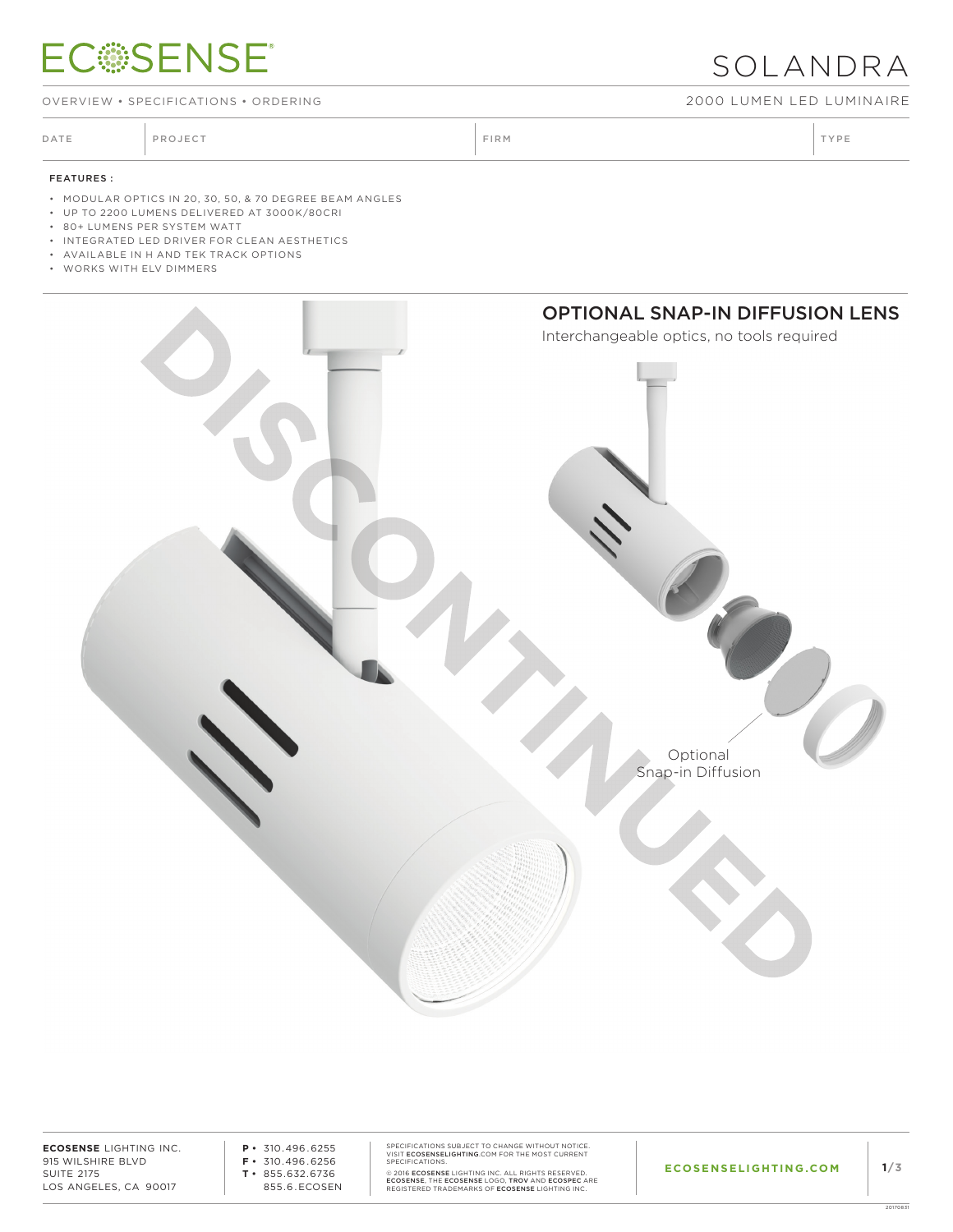## **ECSSENSE®**

OVERVIEW • SPECIFICATIONS • ORDERING 2000 LUMEN LED LUMINAIRE

DATE PROJECT PROJECT PRODUCT PROJECT PRODUCT PRODUCT PRODUCT PRODUCT PRODUCT PRODUCT PRODUCT PRODUCT PRODUCT PRODUCT PRODUCT PRODUCT PRODUCT PRODUCT PRODUCT PRODUCT PRODUCT PRODUCT PRODUCT PRODUCT PRODUCT PRODUCT PRODUCT P

SOLANDRA

#### FEATURES :

- MODULAR OPTICS IN 20, 30, 50, & 70 DEGREE BEAM ANGLES
- UP TO 2200 LUMENS DELIVERED AT 3000K/80CRI
- 80+ LUMENS PER SYSTEM WATT
- INTEGRATED LED DRIVER FOR CLEAN AESTHETICS
- AVAILABLE IN H AND TEK TRACK OPTIONS
- WORKS WITH ELV DIMMERS



**ECOSENSE** LIGHTING INC. 915 WILSHIRE BLVD SUITE 2175 LOS ANGELES, CA 90017

**P •** 310.496.6255 **F •** 310.496.6256 **T •** 855.632.6736 855.6.ECOSEN SPECIFICATIONS SUBJECT TO CHANGE WITHOUT NOTICE.<br>VISIT **ECOSENSELIGHTING**.COM FOR THE MOST CURRENT<br>SPECIFICATIONS.

© 2016 **ECOSENSE** LIGHTING INC. ALL RIGHTS RESERVED.<br>**ECOSENSE, T**HE **ECOSENSE L**OGO**, TROV** AND E**COSPEC** ARE<br>REGISTERED TRADEMARKS OF **ECOSENSE** LIGHTING INC.

20170831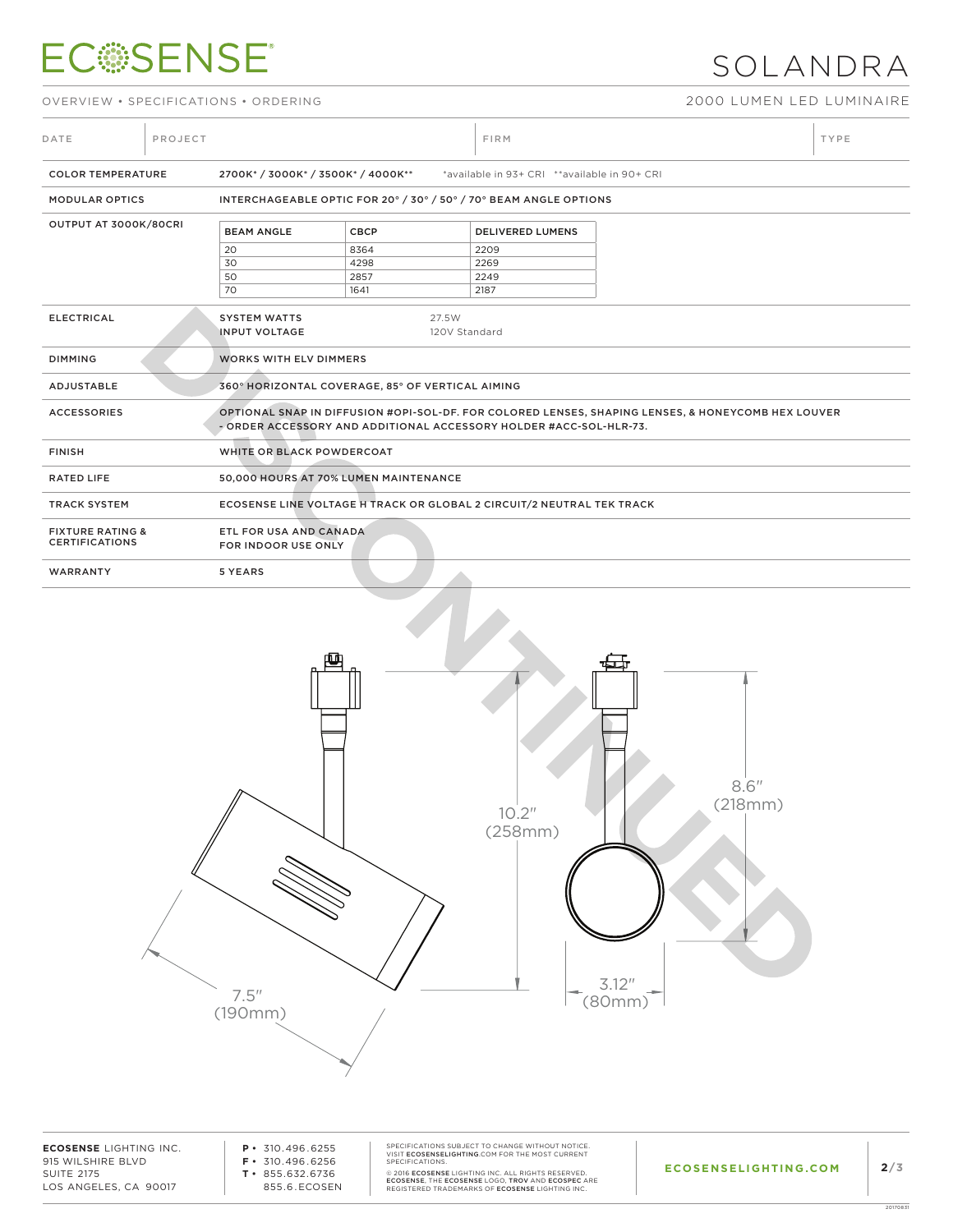# **ECSSENSE®**

## SOLANDRA

OVERVIEW • SPECIFICATIONS • ORDERING 2000 LUMEN LED LUMINAIRE

| DATE                                                 | PROJECT |                                                                                                                                                                          |                                                                       | <b>FIRM</b>             |  |  |  |  |
|------------------------------------------------------|---------|--------------------------------------------------------------------------------------------------------------------------------------------------------------------------|-----------------------------------------------------------------------|-------------------------|--|--|--|--|
| <b>COLOR TEMPERATURE</b>                             |         | 2700K* / 3000K* / 3500K* / 4000K**<br>*available in 93+ CRI **available in 90+ CRI                                                                                       |                                                                       |                         |  |  |  |  |
| <b>MODULAR OPTICS</b>                                |         |                                                                                                                                                                          | INTERCHAGEABLE OPTIC FOR 20° / 30° / 50° / 70° BEAM ANGLE OPTIONS     |                         |  |  |  |  |
| OUTPUT AT 3000K/80CRI                                |         | <b>BEAM ANGLE</b>                                                                                                                                                        | <b>CBCP</b>                                                           | <b>DELIVERED LUMENS</b> |  |  |  |  |
|                                                      |         | 20                                                                                                                                                                       | 8364                                                                  | 2209                    |  |  |  |  |
|                                                      |         | 30                                                                                                                                                                       | 4298                                                                  | 2269                    |  |  |  |  |
|                                                      |         | 50                                                                                                                                                                       | 2857                                                                  | 2249                    |  |  |  |  |
|                                                      |         | 70                                                                                                                                                                       | 1641                                                                  | 2187                    |  |  |  |  |
| <b>ELECTRICAL</b>                                    |         | <b>SYSTEM WATTS</b><br><b>INPUT VOLTAGE</b>                                                                                                                              | 27.5W                                                                 | 120V Standard           |  |  |  |  |
| <b>DIMMING</b>                                       |         | <b>WORKS WITH ELV DIMMERS</b>                                                                                                                                            |                                                                       |                         |  |  |  |  |
| <b>ADJUSTABLE</b>                                    |         |                                                                                                                                                                          | 360° HORIZONTAL COVERAGE, 85° OF VERTICAL AIMING                      |                         |  |  |  |  |
| <b>ACCESSORIES</b>                                   |         | OPTIONAL SNAP IN DIFFUSION #OPI-SOL-DF. FOR COLORED LENSES, SHAPING LENSES, & HONEYCOMB HEX LOUVER<br>- ORDER ACCESSORY AND ADDITIONAL ACCESSORY HOLDER #ACC-SOL-HLR-73. |                                                                       |                         |  |  |  |  |
| <b>FINISH</b>                                        |         | WHITE OR BLACK POWDERCOAT                                                                                                                                                |                                                                       |                         |  |  |  |  |
| <b>RATED LIFE</b>                                    |         | 50,000 HOURS AT 70% LUMEN MAINTENANCE                                                                                                                                    |                                                                       |                         |  |  |  |  |
| <b>TRACK SYSTEM</b>                                  |         |                                                                                                                                                                          | ECOSENSE LINE VOLTAGE H TRACK OR GLOBAL 2 CIRCUIT/2 NEUTRAL TEK TRACK |                         |  |  |  |  |
| <b>FIXTURE RATING &amp;</b><br><b>CERTIFICATIONS</b> |         | ETL FOR USA AND CANADA<br>FOR INDOOR USE ONLY                                                                                                                            |                                                                       |                         |  |  |  |  |
| WARRANTY                                             |         | 5 YEARS                                                                                                                                                                  |                                                                       |                         |  |  |  |  |



**ECOSENSE** LIGHTING INC. 915 WILSHIRE BLVD SUITE 2175 LOS ANGELES, CA 90017

**P •** 310.496.6255 **F •** 310.496.6256 **T •** 855.632.6736 855.6.ECOSEN SPECIFICATIONS SUBJECT TO CHANGE WITHOUT NOTICE.<br>VISIT **ECOSENSELIGHTING**.COM FOR THE MOST CURRENT<br>SPECIFICATIONS.

© 2016 **ECOSENSE** LIGHTING INC. ALL RIGHTS RESERVED.<br>**ECOSENSE, T**HE **ECOSENSE L**OGO**, TROV** AND E**COSPEC** ARE<br>REGISTERED TRADEMARKS OF **ECOSENSE** LIGHTING INC.